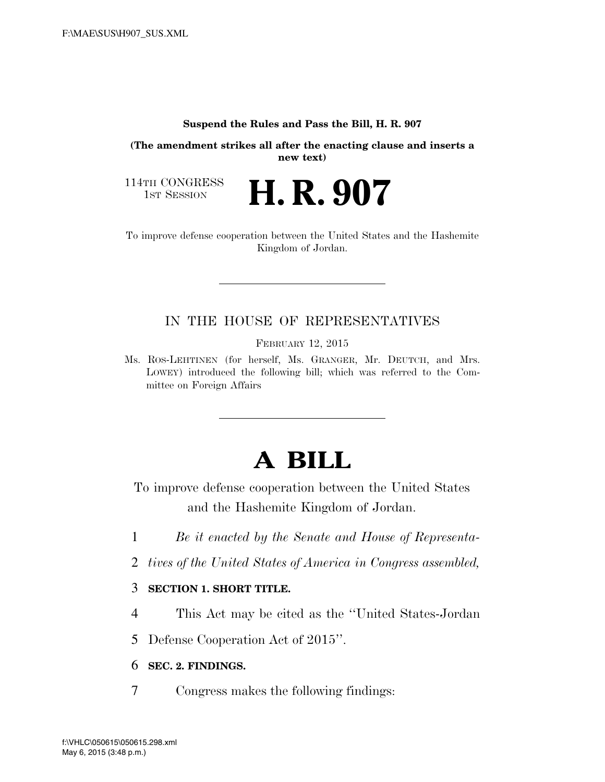#### **Suspend the Rules and Pass the Bill, H. R. 907**

**(The amendment strikes all after the enacting clause and inserts a new text)** 

114TH CONGRESS<br>1st Session

H. R. 907

To improve defense cooperation between the United States and the Hashemite Kingdom of Jordan.

## IN THE HOUSE OF REPRESENTATIVES

FEBRUARY 12, 2015

Ms. ROS-LEHTINEN (for herself, Ms. GRANGER, Mr. DEUTCH, and Mrs. LOWEY) introduced the following bill; which was referred to the Committee on Foreign Affairs

# **A BILL**

To improve defense cooperation between the United States and the Hashemite Kingdom of Jordan.

- 1 *Be it enacted by the Senate and House of Representa-*
- 2 *tives of the United States of America in Congress assembled,*

### 3 **SECTION 1. SHORT TITLE.**

4 This Act may be cited as the ''United States-Jordan

5 Defense Cooperation Act of 2015''.

6 **SEC. 2. FINDINGS.** 

7 Congress makes the following findings: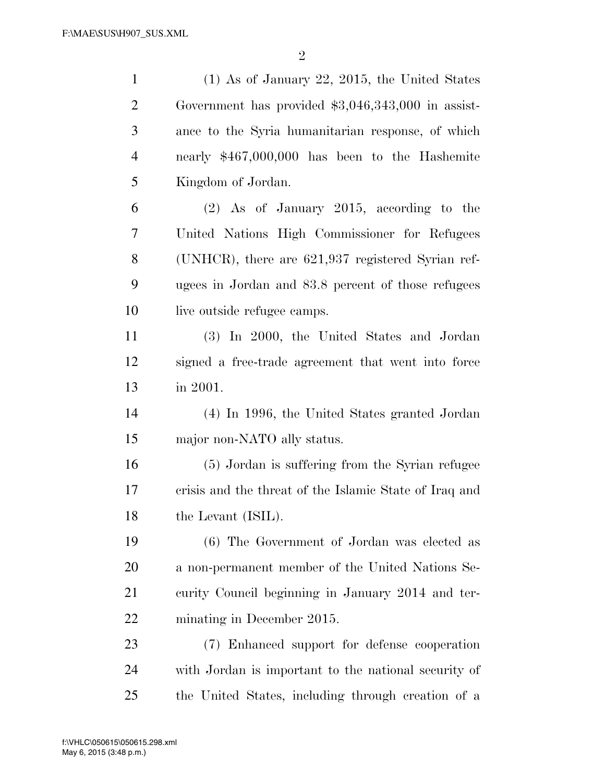$\mathfrak{D}$ 

 (1) As of January 22, 2015, the United States Government has provided \$3,046,343,000 in assist- ance to the Syria humanitarian response, of which nearly \$467,000,000 has been to the Hashemite Kingdom of Jordan. (2) As of January 2015, according to the United Nations High Commissioner for Refugees (UNHCR), there are 621,937 registered Syrian ref- ugees in Jordan and 83.8 percent of those refugees 10 live outside refugee camps. (3) In 2000, the United States and Jordan signed a free-trade agreement that went into force in 2001. (4) In 1996, the United States granted Jordan major non-NATO ally status. (5) Jordan is suffering from the Syrian refugee crisis and the threat of the Islamic State of Iraq and 18 the Levant (ISIL). (6) The Government of Jordan was elected as a non-permanent member of the United Nations Se- curity Council beginning in January 2014 and ter- minating in December 2015. (7) Enhanced support for defense cooperation with Jordan is important to the national security of the United States, including through creation of a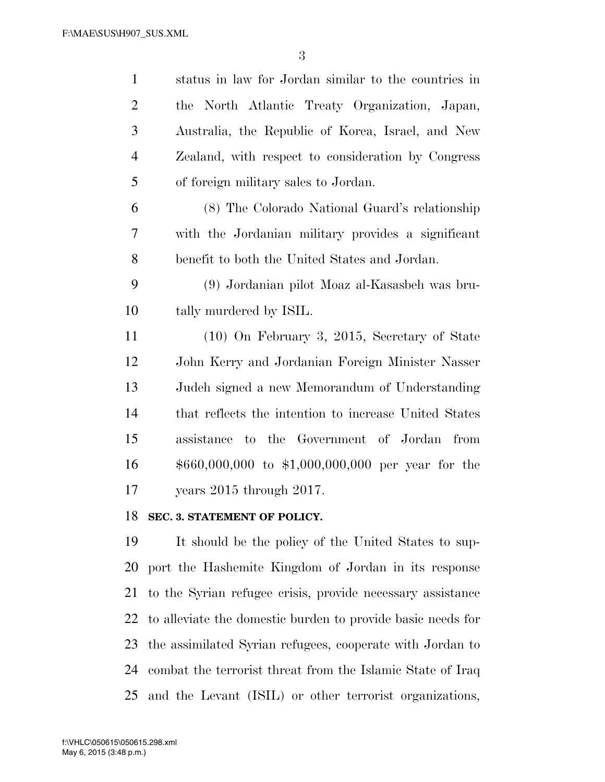| $\mathbf{1}$   | status in law for Jordan similar to the countries in                                    |
|----------------|-----------------------------------------------------------------------------------------|
| $\overline{2}$ | the North Atlantic Treaty Organization, Japan,                                          |
| 3              | Australia, the Republic of Korea, Israel, and New                                       |
| $\overline{4}$ | Zealand, with respect to consideration by Congress                                      |
| 5              | of foreign military sales to Jordan.                                                    |
| 6              | (8) The Colorado National Guard's relationship                                          |
| $\tau$         | with the Jordanian military provides a significant                                      |
| 8              | benefit to both the United States and Jordan.                                           |
| 9              | (9) Jordanian pilot Moaz al-Kasasbeh was bru-                                           |
| 10             | tally murdered by ISIL.                                                                 |
| 11             | $(10)$ On February 3, 2015, Secretary of State                                          |
| 12             | John Kerry and Jordanian Foreign Minister Nasser                                        |
| 13             | Judeh signed a new Memorandum of Understanding                                          |
| 14             | that reflects the intention to increase United States                                   |
| 15             | assistance to the Government of Jordan from                                             |
| 16             | $$660,000,000$ to \$1,000,000,000 per year for the                                      |
| 17             | years 2015 through 2017.                                                                |
| 18             | SEC. 3. STATEMENT OF POLICY.                                                            |
| 19             | It should be the policy of the United States to sup-                                    |
| $\mathbf{A}$   | $\mathbf{H}$ and $\mathbf{H}$ is the state of $\mathbf{H}$ is the state of $\mathbf{H}$ |

 port the Hashemite Kingdom of Jordan in its response to the Syrian refugee crisis, provide necessary assistance to alleviate the domestic burden to provide basic needs for the assimilated Syrian refugees, cooperate with Jordan to combat the terrorist threat from the Islamic State of Iraq and the Levant (ISIL) or other terrorist organizations,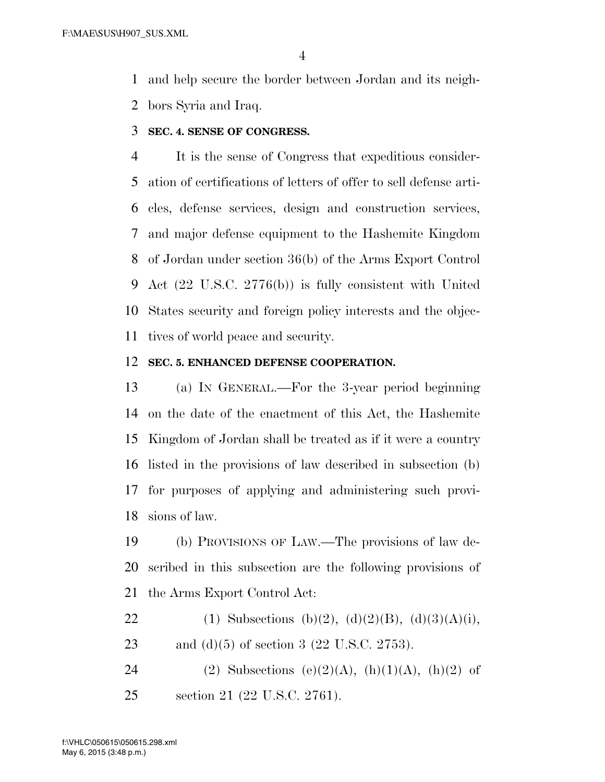and help secure the border between Jordan and its neigh-

bors Syria and Iraq.

**SEC. 4. SENSE OF CONGRESS.** 

 It is the sense of Congress that expeditious consider- ation of certifications of letters of offer to sell defense arti- cles, defense services, design and construction services, and major defense equipment to the Hashemite Kingdom of Jordan under section 36(b) of the Arms Export Control Act (22 U.S.C. 2776(b)) is fully consistent with United States security and foreign policy interests and the objec-tives of world peace and security.

### **SEC. 5. ENHANCED DEFENSE COOPERATION.**

 (a) IN GENERAL.—For the 3-year period beginning on the date of the enactment of this Act, the Hashemite Kingdom of Jordan shall be treated as if it were a country listed in the provisions of law described in subsection (b) for purposes of applying and administering such provi-sions of law.

 (b) PROVISIONS OF LAW.—The provisions of law de- scribed in this subsection are the following provisions of the Arms Export Control Act:

- 22 (1) Subsections (b)(2), (d)(2)(B), (d)(3)(A)(i), 23 and (d)(5) of section 3 (22 U.S.C. 2753).
- 24 (2) Subsections (e)(2)(A), (h)(1)(A), (h)(2) of section 21 (22 U.S.C. 2761).